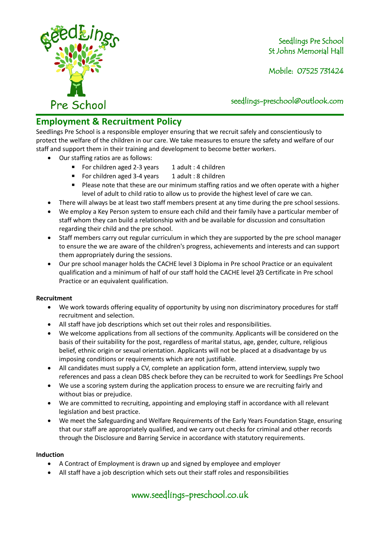

Mobile: 07525 731424

seedlings[-preschool@outlook.com](mailto:preschool@outlook.com)

# **Employment & Recruitment Policy**

Seedlings Pre School is a responsible employer ensuring that we recruit safely and conscientiously to protect the welfare of the children in our care. We take measures to ensure the safety and welfare of our staff and support them in their training and development to become better workers.

- Our staffing ratios are as follows:
	- For children aged 2-3 years 1 adult : 4 children
	- For children aged 3-4 years 1 adult : 8 children
	- Please note that these are our minimum staffing ratios and we often operate with a higher level of adult to child ratio to allow us to provide the highest level of care we can.
- There will always be at least two staff members present at any time during the pre school sessions.
- We employ a Key Person system to ensure each child and their family have a particular member of staff whom they can build a relationship with and be available for discussion and consultation regarding their child and the pre school.
- Staff members carry out regular curriculum in which they are supported by the pre school manager to ensure the we are aware of the children's progress, achievements and interests and can support them appropriately during the sessions.
- Our pre school manager holds the CACHE level 3 Diploma in Pre school Practice or an equivalent qualification and a minimum of half of our staff hold the CACHE level 2/3 Certificate in Pre school Practice or an equivalent qualification.

### **Recruitment**

- We work towards offering equality of opportunity by using non discriminatory procedures for staff recruitment and selection.
- All staff have job descriptions which set out their roles and responsibilities.
- We welcome applications from all sections of the community. Applicants will be considered on the basis of their suitability for the post, regardless of marital status, age, gender, culture, religious belief, ethnic origin or sexual orientation. Applicants will not be placed at a disadvantage by us imposing conditions or requirements which are not justifiable.
- All candidates must supply a CV, complete an application form, attend interview, supply two references and pass a clean DBS check before they can be recruited to work for Seedlings Pre School
- We use a scoring system during the application process to ensure we are recruiting fairly and without bias or prejudice.
- We are committed to recruiting, appointing and employing staff in accordance with all relevant legislation and best practice.
- We meet the Safeguarding and Welfare Requirements of the Early Years Foundation Stage, ensuring that our staff are appropriately qualified, and we carry out checks for criminal and other records through the Disclosure and Barring Service in accordance with statutory requirements.

### **Induction**

- A Contract of Employment is drawn up and signed by employee and employer
- All staff have a job description which sets out their staff roles and responsibilities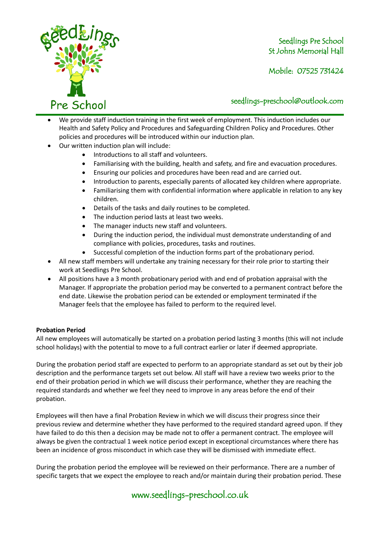

Mobile: 07525 731424

### seedlings[-preschool@outlook.com](mailto:preschool@outlook.com)

- We provide staff induction training in the first week of employment. This induction includes our Health and Safety Policy and Procedures and Safeguarding Children Policy and Procedures. Other policies and procedures will be introduced within our induction plan.
- Our written induction plan will include:
	- Introductions to all staff and volunteers.
	- Familiarising with the building, health and safety, and fire and evacuation procedures.
	- Ensuring our policies and procedures have been read and are carried out.
	- Introduction to parents, especially parents of allocated key children where appropriate.
	- Familiarising them with confidential information where applicable in relation to any key children.
	- Details of the tasks and daily routines to be completed.
	- The induction period lasts at least two weeks.
	- The manager inducts new staff and volunteers.
	- During the induction period, the individual must demonstrate understanding of and compliance with policies, procedures, tasks and routines.
	- Successful completion of the induction forms part of the probationary period.
- All new staff members will undertake any training necessary for their role prior to starting their work at Seedlings Pre School.
- All positions have a 3 month probationary period with and end of probation appraisal with the Manager. If appropriate the probation period may be converted to a permanent contract before the end date. Likewise the probation period can be extended or employment terminated if the Manager feels that the employee has failed to perform to the required level.

#### **Probation Period**

All new employees will automatically be started on a probation period lasting 3 months (this will not include school holidays) with the potential to move to a full contract earlier or later if deemed appropriate.

During the probation period staff are expected to perform to an appropriate standard as set out by their job description and the performance targets set out below. All staff will have a review two weeks prior to the end of their probation period in which we will discuss their performance, whether they are reaching the required standards and whether we feel they need to improve in any areas before the end of their probation.

Employees will then have a final Probation Review in which we will discuss their progress since their previous review and determine whether they have performed to the required standard agreed upon. If they have failed to do this then a decision may be made not to offer a permanent contract. The employee will always be given the contractual 1 week notice period except in exceptional circumstances where there has been an incidence of gross misconduct in which case they will be dismissed with immediate effect.

During the probation period the employee will be reviewed on their performance. There are a number of specific targets that we expect the employee to reach and/or maintain during their probation period. These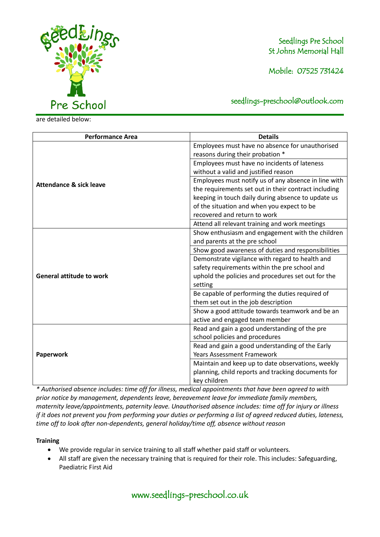

are detailed below:

Seedlings Pre School St Johns Memorial Hall

Mobile: 07525 731424

seedlings[-preschool@outlook.com](mailto:preschool@outlook.com)

**Performance Area Details Attendance & sick leave** Employees must have no absence for unauthorised reasons during their probation \* Employees must have no incidents of lateness without a valid and justified reason Employees must notify us of any absence in line with the requirements set out in their contract including keeping in touch daily during absence to update us of the situation and when you expect to be recovered and return to work Attend all relevant training and work meetings **General attitude to work** Show enthusiasm and engagement with the children and parents at the pre school Show good awareness of duties and responsibilities Demonstrate vigilance with regard to health and safety requirements within the pre school and uphold the policies and procedures set out for the setting Be capable of performing the duties required of them set out in the job description Show a good attitude towards teamwork and be an active and engaged team member **Paperwork** Read and gain a good understanding of the pre school policies and procedures Read and gain a good understanding of the Early Years Assessment Framework Maintain and keep up to date observations, weekly planning, child reports and tracking documents for key children

*\* Authorised absence includes: time off for illness, medical appointments that have been agreed to with prior notice by management, dependents leave, bereavement leave for immediate family members, maternity leave/appointments, paternity leave. Unauthorised absence includes: time off for injury or illness if it does not prevent you from performing your duties or performing a list of agreed reduced duties, lateness, time off to look after non-dependents, general holiday/time off, absence without reason*

#### **Training**

- We provide regular in service training to all staff whether paid staff or volunteers.
- All staff are given the necessary training that is required for their role. This includes: Safeguarding, Paediatric First Aid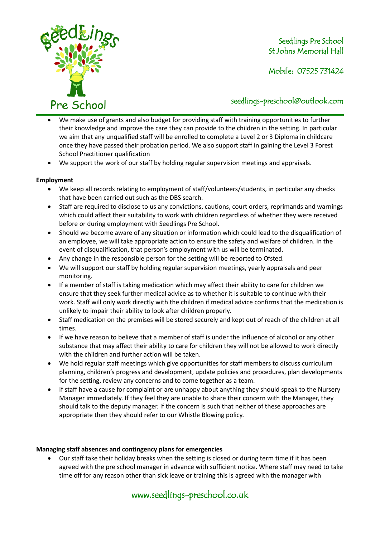

Mobile: 07525 731424

### seedlings[-preschool@outlook.com](mailto:preschool@outlook.com)

- We make use of grants and also budget for providing staff with training opportunities to further their knowledge and improve the care they can provide to the children in the setting. In particular we aim that any unqualified staff will be enrolled to complete a Level 2 or 3 Diploma in childcare once they have passed their probation period. We also support staff in gaining the Level 3 Forest School Practitioner qualification
- We support the work of our staff by holding regular supervision meetings and appraisals.

### **Employment**

- We keep all records relating to employment of staff/volunteers/students, in particular any checks that have been carried out such as the DBS search.
- Staff are required to disclose to us any convictions, cautions, court orders, reprimands and warnings which could affect their suitability to work with children regardless of whether they were received before or during employment with Seedlings Pre School.
- Should we become aware of any situation or information which could lead to the disqualification of an employee, we will take appropriate action to ensure the safety and welfare of children. In the event of disqualification, that person's employment with us will be terminated.
- Any change in the responsible person for the setting will be reported to Ofsted.
- We will support our staff by holding regular supervision meetings, yearly appraisals and peer monitoring.
- If a member of staff is taking medication which may affect their ability to care for children we ensure that they seek further medical advice as to whether it is suitable to continue with their work. Staff will only work directly with the children if medical advice confirms that the medication is unlikely to impair their ability to look after children properly.
- Staff medication on the premises will be stored securely and kept out of reach of the children at all times.
- If we have reason to believe that a member of staff is under the influence of alcohol or any other substance that may affect their ability to care for children they will not be allowed to work directly with the children and further action will be taken.
- We hold regular staff meetings which give opportunities for staff members to discuss curriculum planning, children's progress and development, update policies and procedures, plan developments for the setting, review any concerns and to come together as a team.
- If staff have a cause for complaint or are unhappy about anything they should speak to the Nursery Manager immediately. If they feel they are unable to share their concern with the Manager, they should talk to the deputy manager. If the concern is such that neither of these approaches are appropriate then they should refer to our Whistle Blowing policy.

### **Managing staff absences and contingency plans for emergencies**

• Our staff take their holiday breaks when the setting is closed or during term time if it has been agreed with the pre school manager in advance with sufficient notice. Where staff may need to take time off for any reason other than sick leave or training this is agreed with the manager with